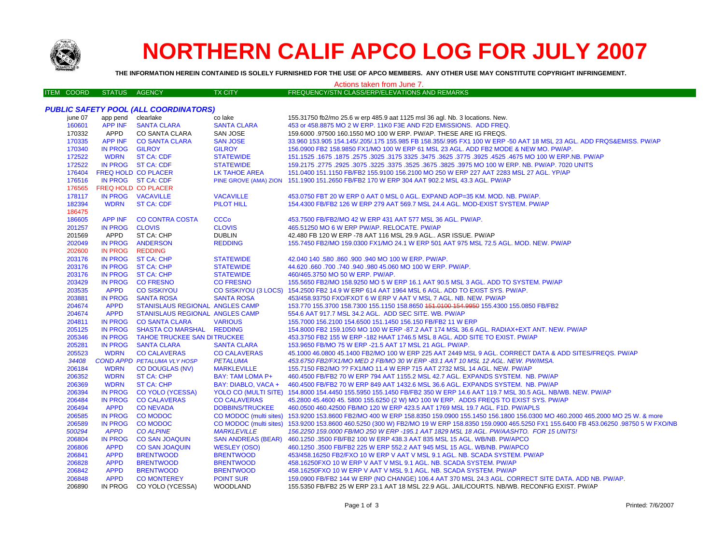

# **NORTHERN CALIF APCO LOG FOR JULY 2007**

THE INFORMATION HEREIN CONTAINED IS SOLELY FURNISHED FOR THE USE OF APCO MEMBERS. ANY OTHER USE MAY CONSTITUTE COPYRIGHT INFRINGEMENT.

#### Actions taken from June 7. FREQUENCY/STN CLASS/ERP/ELEVATIONS AND REMARKS **ITEM COORD** STATUS AGENCY **TX CITY PUBLIC SAFETY POOL (ALL COORDINATORS)** iune 07 app pend clearlake co lake 155.31750 fb2/mo 25.6 w erp 485.9 aat 1125 msl 36 agl. Nb. 3 locations. New. 160601 **APP INF SANTA CLARA SANTA CLARA** 453 or 458.8875 MO 2 W ERP. 11K0 F3E AND F2D EMISSIONS. ADD FREQ. CO SANTA CLARA 170332 APPD SAN JOSE 159.6000 .97500 160.1550 MO 100 W ERP. PW/AP. THESE ARE IG FREQS. 170335 **APP INF CO SANTA CLARA SAN JOSE** 33.960 153.905 154.145/.205/.175 155.985 FB 158.355/.995 FX1 100 W ERP -50 AAT 18 MSL 23 AGL. ADD FRQS&EMISS. PW/AP 170340 **IN PROG GILROY GILROY** 156.0900 FB2 158.9850 FX1/MO 100 W ERP 61 MSL 23 AGL. ADD FB2 MODE & NEW MO. PW/AP 172522 **WDRN ST CA: CDF STATEWIDE** 151.1525 .1675 .1875 .2575 .3025 .3175 3325 .3475 .3625 .3775 .3925 .4525 .4675 MO 100 W ERP.NB. PW/AP 172522 IN PROG ST CA: CDF **STATEWIDE** 159.2175 .2775 .2925 .3075 .3225 .3375 .3525 .3675 .3825 .3975 MO 100 W ERP. NB. PW/AP. 7020 UNITS **FREQ HOLD CO PLACER** 151.0400 151.1150 FB/FB2 155.9100 156.2100 MO 250 W ERP 227 AAT 2283 MSL 27 AGL. YP/AP 176404 LK TAHOE AREA IN PROG ST CA: CDF PINE GROVE (AMA) ZION 151.1900 151.2650 FB/FB2 170 W ERP 304 AAT 902.2 MSL 43.3 AGL. PW/AP 176516 176565 **FREQ HOLD CO PLACER** IN PROG VACAVILLE **VACAVILLE** 453.0750 FBT 20 W ERP 0 AAT 0 MSL 0 AGL. EXPAND AOP=35 KM, MOD, NB, PW/AP, 178117 182394 **WDRN ST CA: CDF PILOT HILL** 154.4300 FB/FB2 126 W ERP 279 AAT 569.7 MSL 24.4 AGL, MOD-EXIST SYSTEM, PW/AP 186475 186605 **APP INF CO CONTRA COSTA CCCo** 453.7500 FB/FB2/MO 42 W ERP 431 AAT 577 MSL 36 AGL. PW/AP. 201257 **IN PROG CLOVIS CLOVIS** 465.51250 MO 6 W ERP PW/AP, RELOCATE, PW/AP 201569 APPD ST CA: CHP **DUBLIN** 42.480 FB 120 W ERP -78 AAT 116 MSL 29.9 AGL.. ASR ISSUE. PW/AP 155.7450 FB2/MO 159.0300 FX1/MO 24.1 W ERP 501 AAT 975 MSL 72.5 AGL. MOD. NEW. PW/AP 202049 **IN PROG ANDERSON REDDING** 202600 **IN PROG REDDING** 203176 **IN PROG ST CA: CHP STATEWIDE** 42.040 140 .580 .860 .900 .940 MO 100 W ERP. PW/AP. 203176 **IN PROG ST CA: CHP STATEWIDE** 44,620,660,700,740,940,980,45,060 MO 100 W ERP, PW/AP. 203176 IN PROG **ST CA: CHP STATEWIDE** 460/465 3750 MO 50 W FRP PW/AP 203429 **IN PROG CO FRESNO CO FRESNO** 155.5650 FB2/MO 158.9250 MO 5 W ERP 16.1 AAT 90.5 MSL 3 AGL. ADD TO SYSTEM. PW/AP 203535 **APPD CO SISKIYOU CO SISKIYOU (3 LOCS)** 154.2500 FB2 14.9 W ERP 614 AAT 1964 MSL 6 AGL. ADD TO EXIST SYS. PW/AP. 203881 453/458.93750 FXO/FXOT 6 W ERP V AAT V MSL 7 AGL. NB. NEW. PW/AP **IN PROG SANTA ROSA SANTA ROSA** 153.770 155.3700 158.7300 155.1150 158.8650 151.0100 154.9950 155.4300 155.0850 FB/FB2 204674 **APPD STANISLAUS REGIONAL ANGLES CAMP** 204674 **APPD STANISLAUS REGIONAL ANGLES CAMP** 554.6 AAT 917.7 MSL 34.2 AGL. ADD SEC SITE, WB, PW/AP 204811 IN PROG **CO SANTA CLARA VARIOUS** 155,7000 156,2100 154,6500 151,1450 156,150 FB/FB2 11 W ERP 205125 **IN PROG SHASTA CO MARSHAL REDDING** 154,8000 FB2 159,1050 MO 100 W ERP -87.2 AAT 174 MSL 36.6 AGL, RADIAX+EXT ANT, NEW, PW/AP IN PROG **TAHOE TRUCKEE SAN DITRUCKEE** 453,3750 FB2 155 W ERP -182 HAAT 1746.5 MSL 8 AGL, ADD SITE TO EXIST, PW/AP 205346 205281 IN PROG **SANTA CLARA SANTA CLARA** 153.9650 FB/MO 75 W ERP -21.5 AAT 17 MSL 21 AGL. PW/AP. **CO CALAVERAS** 45.1000 46.0800 45.1400 FB2/MO 100 W ERP 225 AAT 2449 MSL 9 AGL. CORRECT DATA & ADD SITES/FREQS. PW/AP 205523 **WDRN CO CALAVERAS COND APPD PETALUMA VLY HOSP** 453.6750 FB2/FX1/MO MED 2 FB/MO 30 W ERP -83.1 AAT 10 MSL 12 AGL. NEW. PW/IMSA. 34408 **PETALUMA** 206184 **WDRN CO DOUGLAS (NV) MARKLEVILLE** 155.7150 FB2/MO ?? FX1/MO 11.4 W ERP 715 AAT 2732 MSL 14 AGL. NEW. PW/AP 206352 **WDRN** BAY: TAM LOMA P+ 460.4500 FB/FB2 70 W ERP 794 AAT 1155.2 MSL 42.7 AGL. EXPANDS SYSTEM. NB. PW/AP **ST CA: CHP** 206369 **WDRN ST CA: CHP** BAY: DIABLO, VACA + 460,4500 FB/FB2 70 W ERP 849 AAT 1432.6 MSL 36.6 AGL, EXPANDS SYSTEM, NB, PW/AP 206394 IN PROG **CO YOLO (YCESSA) YOLO CO (MULTI SITE)** 154,8000 154,4450 155,5950 155,1450 FB/FB2 350 W ERP 14.6 AAT 119.7 MSL 30.5 AGL, NB/WB, NEW, PW/AP 206484 **IN PROG CO CALAVERAS CO CALAVERAS** 45.2800 45.4600 45.5800 155.6250 (2 W) MO 100 W ERP. ADDS FREQS TO EXIST SYS. PW/AP 206494 **APPD CONEVADA DOBBINS/TRUCKEE** 460.0500 460.42500 FB/MO 120 W ERP 423.5 AAT 1769 MSL 19.7 AGL. F1D. PW/APLS 206585 **IN PROG CO MODOC** CO MODOC (multi sites) 153.9200 153.8600 FB2/MO 400 W ERP 158.8350 159.0900 155.1450 156.1800 156.0300 MO 460.2000 465.2000 MO 25 W. & more 206589 **IN PROG CO MODOC** CO MODOC (multi sites) 153,9200 153,8600 460,5250 (300 W) FB2/MO 19 W ERP 158,8350 159,0900 465,5250 FX1 155,6400 FB 453,06250 ,98750 5 W FXO/NB 500294 **APPD CO ALPINE MARKLEVILLE** 156.2250 159.0000 FB/MO 250 W ERP - 195.1 AAT 1829 MSL 18 AGL. PW/AASHTO. FOR 15 UNITS! 206804 **CO SAN JOAQUIN SAN ANDREAS (BEAR)** 460.1250.3500 FB/FB2 100 W ERP 438.3 AAT 835 MSL 15 AGL. WB/NB. PW/APCO **IN PROG APPD** 206806 **CO SAN JOAQUIN WESLEY (OSO)** 460.1250 .3500 FB/FB2 225 W ERP 552.2 AAT 945 MSL 15 AGL. WB/NB. PW/APCO 206841 **APPD BRENTWOOD BRENTWOOD** 453/458.16250 FB2/FXO 10 W ERP V AAT V MSL 9.1 AGL, NB, SCADA SYSTEM, PW/AP 206828 **APPD BRENTWOOD BRENTWOOD** 458.16250 FXO 10 W ERP V AAT V MSL 9.1 AGL, NB, SCADA SYSTEM, PWAP 206842 **APPD BRENTWOOD BRENTWOOD** 458.16250FXO 10 W ERP V AAT V MSL 9.1 AGL, NB, SCADA SYSTEM, PW/AP 206848 **APPD** 159.0900 FB/FB2 144 W ERP (NO CHANGE) 106.4 AAT 370 MSL 24.3 AGL. CORRECT SITE DATA. ADD NB. PW/AP. **CO MONTEREY POINT SUR** 206890 IN PROG CO YOLO (YCESSA) WOODLAND 155.5350 FB/FB2 25 W ERP 23.1 AAT 18 MSL 22.9 AGL. JAIL/COURTS. NB/WB. RECONFIG EXIST. PW/AP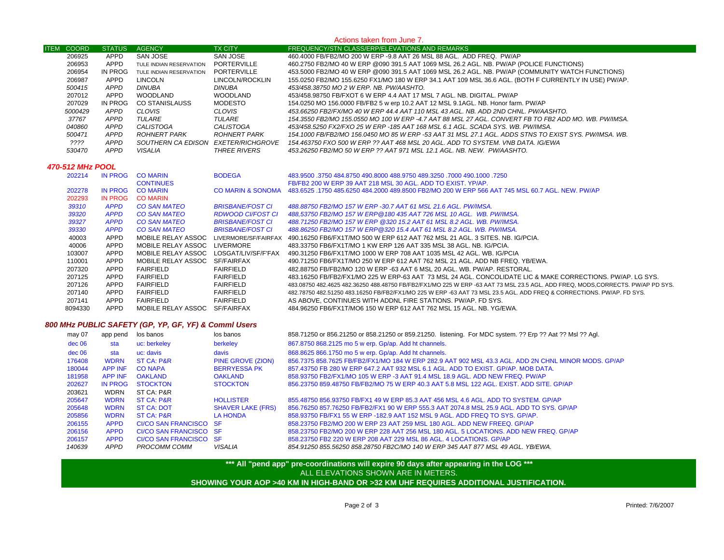### **ITEM COORD STATUS AGENCY TX CITY FREQUENCY/STN CLASS/ERP/ELEVATIONS AND REMARKS** Actions taken from June 7. APPD SAN JOSE SAN JOSE 460.4000 FB/FB2/MO 200 W ERP -9.8 AAT 26 MSL 88 AGL. ADD FREQ. PW/APD TULE INDIAN RESERVATION PORTERVILLE 460.2750 FB2/MO 40 W ERP @090 391.5 AAT 1069 MSL 26.2 AGL. NB. PW/AP (POLICE FUNCTIONS) APPD IN PROG TULE INDIAN RESERVATION PORTERVILLE 453.5000 FB2/MO 40 W ERP @090 391.5 AAT 1069 MSL 26.2 AGL. NB. PW/AP (COMMUNITY WATCH FUNCTIONS) APPD LINCOLN LINCOLN/ROCKLIN 155.0250 FB2/MO 155.6250 FX1/MO 180 W ERP 34.1 AAT 109 MSL 36.6 AGL. (BOTH F CURRENTLY IN USE) PW/AP.  *APPD DINUBA DINUBA 453/458.38750 MO 2 W ERP. NB. PW/AASHTO.* APPD WOODLAND WOODLAND 453/458.98750 FB/FXOT 6 W ERP 4.4 AAT 17 MSL 7 AGL. NB. DIGITAL. PW/AP IN PROG CO STANISLAUSS MODESTO 154.0250 MO 156.0000 FB/FB2 5 w erp 10.2 AAT 12 MSL 9.1AGL. NB. Honor farm. PW/AP  *APPD CLOVIS CLOVIS 453.66250 FB2/FX/MO 40 W ERP 44.4 AAT 110 MSL 43 AGL. NB. ADD 2ND CHNL. PW/AASHTO. APPD TULARE TULARE 154.3550 FB2/MO 155.0550 MO 100 W ERP -4.7 AAT 88 MSL 27 AGL. CONVERT FB TO FB2 ADD MO. WB. PW/IMSA. APPD CALISTOGA CALISTOGA 453/458.5250 FX2/FXO 25 W ERP -185 AAT 168 MSL 6.1 AGL. SCADA SYS. WB. PW/IMSA. APPD ROHNERT PARK ROHNERT PARK 154.1000 FB/FB2/MO 156.0450 MO 85 W ERP -53 AAT 31 MSL 27.1 AGL. ADDS STNS TO EXIST SYS. PW/IMSA. WB.???? APPD SOUTHERN CA EDISON EXETER/RICHGROVE 154.463750 FXO 500 W ERP ?? AAT 468 MSL 20 AGL. ADD TO SYSTEM. VNB DATA. IG/EWA APPD VISALIA THREE RIVERS 453.26250 FB2/MO 50 W ERP ?? AAT 971 MSL 12.1 AGL. NB. NEW. PW/AASHTO. 470-512 MHz POOL* IN PROG CO MARIN BODEGA 483.9500 .3750 484.8750 490.8000 488.9750 489.3250 .7000 490.1000 .7250CONTINUES FB/FB2 200 W ERP 39 AAT 218 MSL 30 AGL. ADD TO EXIST. YP/AP. IN PROG CO MARIN CO MARIN & SONOMA 483.6525 .1750 485.6250 484.2000 489.8500 FB2/MO 200 W ERP 566 AAT 745 MSL 60.7 AGL. NEW. PW/AP IN PROG CO MARIN *APPD CO SAN MATEO BRISBANE/FOST CI 488.88750 FB2/MO 157 W ERP -30.7 AAT 61 MSL 21.6 AGL. PW/IMSA. APPD CO SAN MATEO RDWOOD CI/FOST CI 488,53750 FB2/MO 157 W ERP@180 435 AAT 726 MSL 10 AGL. WB. PW/IMSA. APPD CO SAN MATEO BRISBANE/FOST CI 488.71250 FB2/MO 157 W ERP @320 15.2 AAT 61 MSL 8.2 AGL. WB. PW/IMSA. APPD CO SAN MATEO BRISBANE/FOST CI 488.86250 FB2/MO 157 W ERP@320 15.4 AAT 61 MSL 8.2 AGL. WB. PW/IMSA.* APPD MOBILE RELAY ASSOC LIVERMORE/SF/FAIRFAX 490.16250 FB6/FX1T/MO 500 W ERP 612 AAT 762 MSL 21 AGL. 3 SITES. NB. IG/PCIA. APPD MOBILE RELAY ASSOC LIVERMORE 483.33750 FB6/FX1T/MO 1 KW ERP 126 AAT 335 MSL 38 AGL. NB. IG/PCIA. APPD MOBILE RELAY ASSOC LOSGAT/LIV/SF/F'FAX 490.31250 FB6/FX1T/MO 1000 W ERP 708 AAT 1035 MSL 42 AGL. WB. IG/PCIA APPD MOBILE RELAY ASSOC SF/FAIRFAX 490.71250 FB6/FX1T/MO 250 W ERP 612 AAT 762 MSL 21 AGL. ADD NB FREQ. YB/EWA. APPD FAIRFIELD FAIRFIELD 482.88750 FB/FB2/MO 120 W ERP -63 AAT 6 MSL 20 AGL. WB. PW/AP. RESTORAL. APPD FAIRFIELD FAIRFIELD 483.16250 FB/FB2/FX1/MO 225 W ERP-63 AAT 73 MSL 24 AGL. CONCOLIDATE LIC & MAKE CORRECTIONS. PW/AP. LG SYS. APPD FAIRFIELD FAIRFIELD 483.08750 482.4625 482.36250 488.48750 FB/FB2/FX1/MO 225 W ERP -63 AAT 73 MSL 23.5 AGL. ADD FREQ, MODS,CORRECTS. PW/AP PD SYS. APPD FAIRFIELD FAIRFIELD 482.78750 482.51250 483.16250 FB/FB2/FX1/MO 225 W ERP -63 AAT 73 MSL 23.5 AGL. ADD FREQ & CORRECTIONS. PW/AP. FD SYS. APPD FAIRFIELD FAIRFIELD AS ABOVE, CONTINUES WITH ADDNL FIRE STATIONS. PW/AP. FD SYS. APPD MOBILE RELAY ASSOC SF/FAIRFAX 484.96250 FB6/FX1T/MO6 150 W ERP 612 AAT 762 MSL 15 AGL. NB. YG/EWA.

## *800 MHz PUBLIC SAFETY (GP, YP, GF, YF) & Comml Users*

| may 07   | app pend       | los banos              | los banos                | 858.71250 or 856.21250 or 858.21250 or 859.21250. listening. For MDC system. ?? Erp ?? Aat ?? Msl ?? Agl. |
|----------|----------------|------------------------|--------------------------|-----------------------------------------------------------------------------------------------------------|
| dec 06   | sta            | uc: berkeley           | berkeley                 | 867.8750 868.2125 mo 5 w erp. Gp/ap. Add ht channels.                                                     |
| $dec$ 06 | sta            | uc: davis              | davis                    | 868.8625 866.1750 mo 5 w erp. Gp/ap. Add ht channels.                                                     |
| 176408   | <b>WDRN</b>    | <b>ST CA: P&amp;R</b>  | PINE GROVE (ZION)        | 856.7375 858.7625 FB/FB2/FX1/MO 184 W ERP 282.9 AAT 902 MSL 43.3 AGL, ADD 2N CHNL MINOR MODS, GP/AP       |
| 180044   | <b>APP INF</b> | <b>CO NAPA</b>         | <b>BERRYESSA PK</b>      | 857-43750 FB 280 W ERP 647.2 AAT 932 MSL 6.1 AGL, ADD TO EXIST, GP/AP, MOB DATA,                          |
| 181958   | <b>APP INF</b> | <b>OAKLAND</b>         | <b>OAKLAND</b>           | 858.93750 FB2/FX1/MO 105 W ERP -3 AAT 91.4 MSL 18.9 AGL. ADD NEW FREQ. PW/AP                              |
| 202627   | IN PROG        | <b>STOCKTON</b>        | <b>STOCKTON</b>          | 856.23750 859.48750 FB/FB2/MO 75 W ERP 40.3 AAT 5.8 MSL 122 AGL. EXIST. ADD SITE. GP/AP                   |
| 203621   | <b>WDRN</b>    | ST CA: P&R             |                          |                                                                                                           |
| 205647   | <b>WDRN</b>    | <b>ST CA: P&amp;R</b>  | <b>HOLLISTER</b>         | 855.48750 856.93750 FB/FX1 49 W ERP 85.3 AAT 456 MSL 4.6 AGL, ADD TO SYSTEM, GP/AP                        |
| 205648   | <b>WDRN</b>    | <b>ST CA: DOT</b>      | <b>SHAVER LAKE (FRS)</b> | 856.76250 857.76250 FB/FB2/FX1 90 W ERP 555.3 AAT 2074.8 MSL 25.9 AGL, ADD TO SYS, GP/AP                  |
| 205856   | <b>WDRN</b>    | <b>ST CA: P&amp;R</b>  | <b>LA HONDA</b>          | 858,93750 FB/FX1 55 W ERP -182.9 AAT 152 MSL 9 AGL, ADD FREQ TO SYS, GP/AP,                               |
| 206155   | <b>APPD</b>    | CI/CO SAN FRANCISCO SF |                          | 858.23750 FB2/MO 200 W ERP 23 AAT 259 MSL 180 AGL, ADD NEW FREEQ, GP/AP                                   |
| 206156   | <b>APPD</b>    | CI/CO SAN FRANCISCO SF |                          | 858.23750 FB2/MO 200 W ERP 228 AAT 256 MSL 180 AGL, 5 LOCATIONS, ADD NEW FREQ. GP/AP                      |
| 206157   | <b>APPD</b>    | CI/CO SAN FRANCISCO SF |                          | 858,23750 FB2 220 W ERP 208 AAT 229 MSL 86 AGL, 4 LOCATIONS, GP/AP                                        |
| 140639   | <b>APPD</b>    | PROCOMM COMM           | VISALIA                  | 854.91250 855.56250 858.28750 FB2C/MO 140 W ERP 345 AAT 877 MSL 49 AGL. YB/EWA.                           |

# **\*\*\* All "pend app" pre-coordinations will expire 90 days after appearing in the LOG \*\*\* SHOWING YOUR AOP >40 KM IN HIGH-BAND OR >32 KM UHF REQUIRES ADDITIONAL JUSTIFICATION.**  ALL ELEVATIONS SHOWN ARE IN METERS.